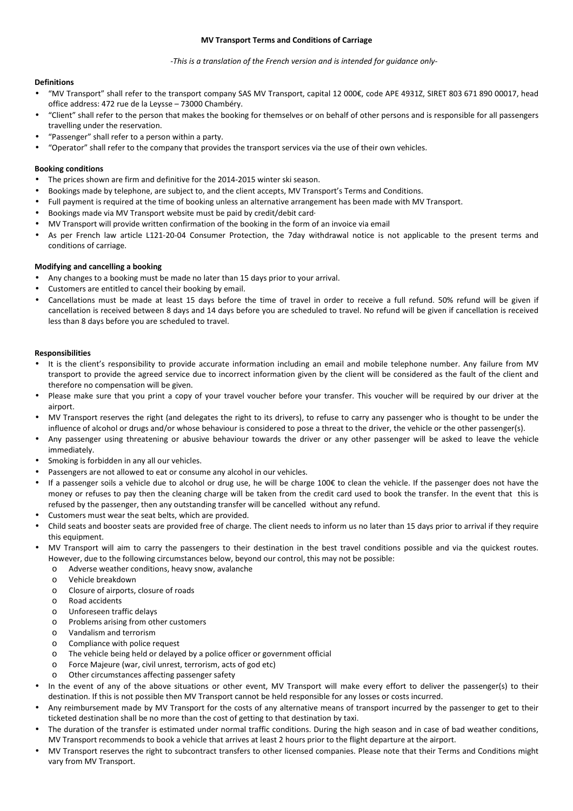#### **MV Transport Terms and Conditions of Carriage**

### *-This is a translation of the French version and is intended for guidance only-*

# **Definitions**

- "MV Transport" shall refer to the transport company SAS MV Transport, capital 12 000€, code APE 4931Z, SIRET 803 671 890 00017, head office address: 472 rue de la Leysse – 73000 Chambéry.
- "Client" shall refer to the person that makes the booking for themselves or on behalf of other persons and is responsible for all passengers travelling under the reservation.
- "Passenger" shall refer to a person within a party.
- "Operator" shall refer to the company that provides the transport services via the use of their own vehicles.

## **Booking conditions**

- The prices shown are firm and definitive for the 2014-2015 winter ski season.
- Bookings made by telephone, are subject to, and the client accepts, MV Transport's Terms and Conditions.
- Full payment is required at the time of booking unless an alternative arrangement has been made with MV Transport.
- Bookings made via MV Transport website must be paid by credit/debit card·
- MV Transport will provide written confirmation of the booking in the form of an invoice via email
- As per French law article L121-20-04 Consumer Protection, the 7day withdrawal notice is not applicable to the present terms and conditions of carriage.

### **Modifying and cancelling a booking**

- Any changes to a booking must be made no later than 15 days prior to your arrival.
- Customers are entitled to cancel their booking by email.
- Cancellations must be made at least 15 days before the time of travel in order to receive a full refund. 50% refund will be given if cancellation is received between 8 days and 14 days before you are scheduled to travel. No refund will be given if cancellation is received less than 8 days before you are scheduled to travel.

#### **Responsibilities**

- It is the client's responsibility to provide accurate information including an email and mobile telephone number. Any failure from MV transport to provide the agreed service due to incorrect information given by the client will be considered as the fault of the client and therefore no compensation will be given.
- Please make sure that you print a copy of your travel voucher before your transfer. This voucher will be required by our driver at the airport.
- MV Transport reserves the right (and delegates the right to its drivers), to refuse to carry any passenger who is thought to be under the influence of alcohol or drugs and/or whose behaviour is considered to pose a threat to the driver, the vehicle or the other passenger(s).
- Any passenger using threatening or abusive behaviour towards the driver or any other passenger will be asked to leave the vehicle immediately.
- Smoking is forbidden in any all our vehicles.
- Passengers are not allowed to eat or consume any alcohol in our vehicles.
- If a passenger soils a vehicle due to alcohol or drug use, he will be charge 100€ to clean the vehicle. If the passenger does not have the money or refuses to pay then the cleaning charge will be taken from the credit card used to book the transfer. In the event that this is refused by the passenger, then any outstanding transfer will be cancelled without any refund.
- Customers must wear the seat belts, which are provided.
- Child seats and booster seats are provided free of charge. The client needs to inform us no later than 15 days prior to arrival if they require this equipment.
- MV Transport will aim to carry the passengers to their destination in the best travel conditions possible and via the quickest routes. However, due to the following circumstances below, beyond our control, this may not be possible:
	- o Adverse weather conditions, heavy snow, avalanche
	- o Vehicle breakdown
	- o Closure of airports, closure of roads
	- o Road accidents
	- o Unforeseen traffic delays
	- o Problems arising from other customers
	- o Vandalism and terrorism
	- o Compliance with police request
	- o The vehicle being held or delayed by a police officer or government official
	- o Force Majeure (war, civil unrest, terrorism, acts of god etc)
	- o Other circumstances affecting passenger safety
- In the event of any of the above situations or other event, MV Transport will make every effort to deliver the passenger(s) to their destination. If this is not possible then MV Transport cannot be held responsible for any losses or costs incurred.
- Any reimbursement made by MV Transport for the costs of any alternative means of transport incurred by the passenger to get to their ticketed destination shall be no more than the cost of getting to that destination by taxi.
- The duration of the transfer is estimated under normal traffic conditions. During the high season and in case of bad weather conditions, MV Transport recommends to book a vehicle that arrives at least 2 hours prior to the flight departure at the airport.
- MV Transport reserves the right to subcontract transfers to other licensed companies. Please note that their Terms and Conditions might vary from MV Transport.